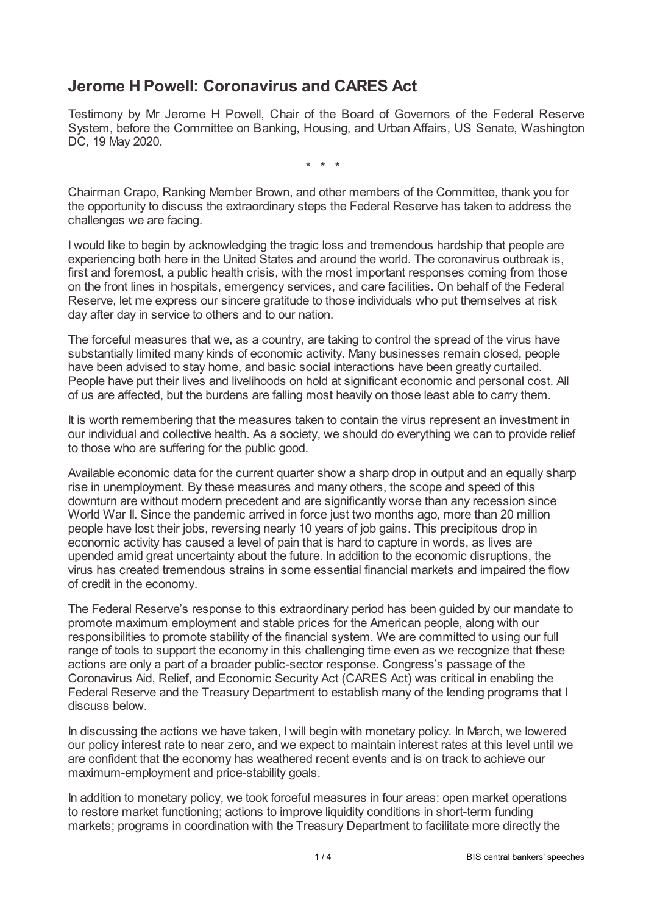## **Jerome H Powell: Coronavirus and CARES Act**

Testimony by Mr Jerome H Powell, Chair of the Board of Governors of the Federal Reserve System, before the Committee on Banking, Housing, and Urban Affairs, US Senate, Washington DC, 19 May 2020.

\* \* \*

Chairman Crapo, Ranking Member Brown, and other members of the Committee, thank you for the opportunity to discuss the extraordinary steps the Federal Reserve has taken to address the challenges we are facing.

I would like to begin by acknowledging the tragic loss and tremendous hardship that people are experiencing both here in the United States and around the world. The coronavirus outbreak is, first and foremost, a public health crisis, with the most important responses coming from those on the front lines in hospitals, emergency services, and care facilities. On behalf of the Federal Reserve, let me express our sincere gratitude to those individuals who put themselves at risk day after day in service to others and to our nation.

The forceful measures that we, as a country, are taking to control the spread of the virus have substantially limited many kinds of economic activity. Many businesses remain closed, people have been advised to stay home, and basic social interactions have been greatly curtailed. People have put their lives and livelihoods on hold at significant economic and personal cost. All of us are affected, but the burdens are falling most heavily on those least able to carry them.

It is worth remembering that the measures taken to contain the virus represent an investment in our individual and collective health. As a society, we should do everything we can to provide relief to those who are suffering for the public good.

Available economic data for the current quarter show a sharp drop in output and an equally sharp rise in unemployment. By these measures and many others, the scope and speed of this downturn are without modern precedent and are significantly worse than any recession since World War II. Since the pandemic arrived in force just two months ago, more than 20 million people have lost their jobs, reversing nearly 10 years of job gains. This precipitous drop in economic activity has caused a level of pain that is hard to capture in words, as lives are upended amid great uncertainty about the future. In addition to the economic disruptions, the virus has created tremendous strains in some essential financial markets and impaired the flow of credit in the economy.

The Federal Reserve's response to this extraordinary period has been guided by our mandate to promote maximum employment and stable prices for the American people, along with our responsibilities to promote stability of the financial system. We are committed to using our full range of tools to support the economy in this challenging time even as we recognize that these actions are only a part of a broader public-sector response. Congress's passage of the Coronavirus Aid, Relief, and Economic Security Act (CARES Act) was critical in enabling the Federal Reserve and the Treasury Department to establish many of the lending programs that I discuss below.

In discussing the actions we have taken, I will begin with monetary policy. In March, we lowered our policy interest rate to near zero, and we expect to maintain interest rates at this level until we are confident that the economy has weathered recent events and is on track to achieve our maximum-employment and price-stability goals.

In addition to monetary policy, we took forceful measures in four areas: open market operations to restore market functioning; actions to improve liquidity conditions in short-term funding markets; programs in coordination with the Treasury Department to facilitate more directly the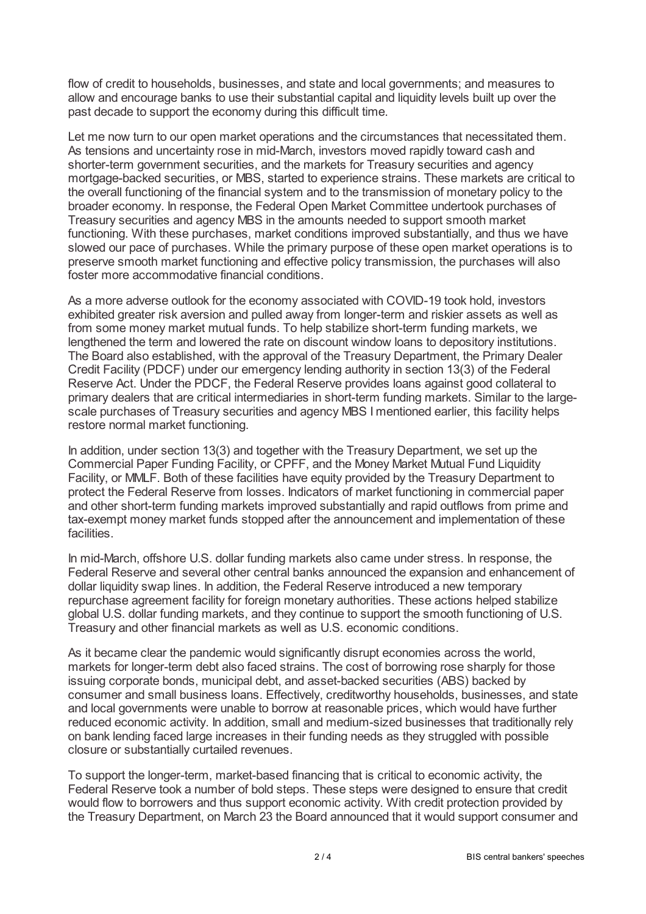flow of credit to households, businesses, and state and local governments; and measures to allow and encourage banks to use their substantial capital and liquidity levels built up over the past decade to support the economy during this difficult time.

Let me now turn to our open market operations and the circumstances that necessitated them. As tensions and uncertainty rose in mid-March, investors moved rapidly toward cash and shorter-term government securities, and the markets for Treasury securities and agency mortgage-backed securities, or MBS, started to experience strains. These markets are critical to the overall functioning of the financial system and to the transmission of monetary policy to the broader economy. In response, the Federal Open Market Committee undertook purchases of Treasury securities and agency MBS in the amounts needed to support smooth market functioning. With these purchases, market conditions improved substantially, and thus we have slowed our pace of purchases. While the primary purpose of these open market operations is to preserve smooth market functioning and effective policy transmission, the purchases will also foster more accommodative financial conditions.

As a more adverse outlook for the economy associated with COVID-19 took hold, investors exhibited greater risk aversion and pulled away from longer-term and riskier assets as well as from some money market mutual funds. To help stabilize short-term funding markets, we lengthened the term and lowered the rate on discount window loans to depository institutions. The Board also established, with the approval of the Treasury Department, the Primary Dealer Credit Facility (PDCF) under our emergency lending authority in section 13(3) of the Federal Reserve Act. Under the PDCF, the Federal Reserve provides loans against good collateral to primary dealers that are critical intermediaries in short-term funding markets. Similar to the largescale purchases of Treasury securities and agency MBS I mentioned earlier, this facility helps restore normal market functioning.

In addition, under section 13(3) and together with the Treasury Department, we set up the Commercial Paper Funding Facility, or CPFF, and the Money Market Mutual Fund Liquidity Facility, or MMLF. Both of these facilities have equity provided by the Treasury Department to protect the Federal Reserve from losses. Indicators of market functioning in commercial paper and other short-term funding markets improved substantially and rapid outflows from prime and tax-exempt money market funds stopped after the announcement and implementation of these facilities.

In mid-March, offshore U.S. dollar funding markets also came under stress. In response, the Federal Reserve and several other central banks announced the expansion and enhancement of dollar liquidity swap lines. In addition, the Federal Reserve introduced a new temporary repurchase agreement facility for foreign monetary authorities. These actions helped stabilize global U.S. dollar funding markets, and they continue to support the smooth functioning of U.S. Treasury and other financial markets as well as U.S. economic conditions.

As it became clear the pandemic would significantly disrupt economies across the world, markets for longer-term debt also faced strains. The cost of borrowing rose sharply for those issuing corporate bonds, municipal debt, and asset-backed securities (ABS) backed by consumer and small business loans. Effectively, creditworthy households, businesses, and state and local governments were unable to borrow at reasonable prices, which would have further reduced economic activity. In addition, small and medium-sized businesses that traditionally rely on bank lending faced large increases in their funding needs as they struggled with possible closure or substantially curtailed revenues.

To support the longer-term, market-based financing that is critical to economic activity, the Federal Reserve took a number of bold steps. These steps were designed to ensure that credit would flow to borrowers and thus support economic activity. With credit protection provided by the Treasury Department, on March 23 the Board announced that it would support consumer and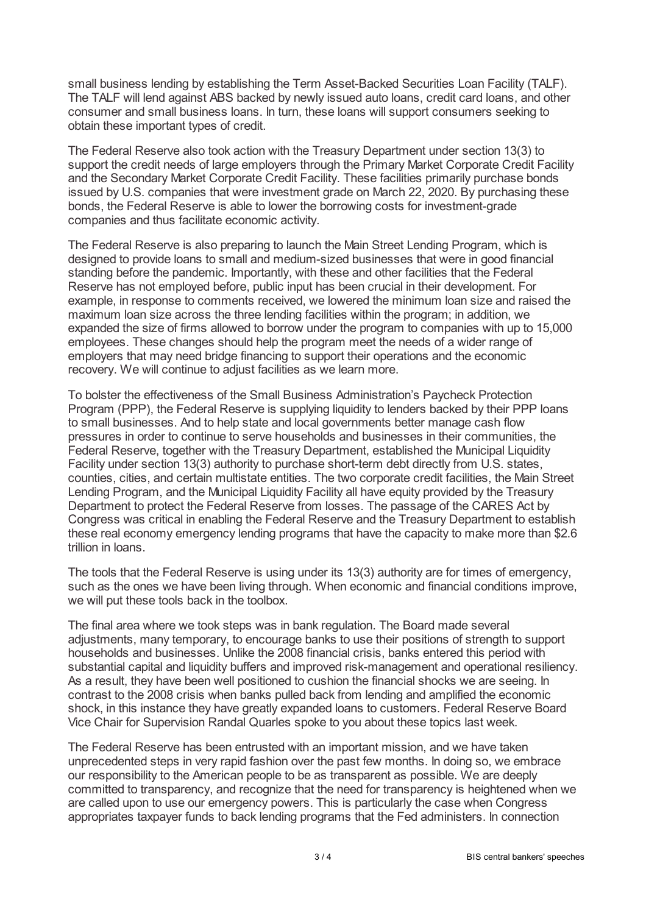small business lending by establishing the Term Asset-Backed Securities Loan Facility (TALF). The TALF will lend against ABS backed by newly issued auto loans, credit card loans, and other consumer and small business loans. In turn, these loans will support consumers seeking to obtain these important types of credit.

The Federal Reserve also took action with the Treasury Department under section 13(3) to support the credit needs of large employers through the Primary Market Corporate Credit Facility and the Secondary Market Corporate Credit Facility. These facilities primarily purchase bonds issued by U.S. companies that were investment grade on March 22, 2020. By purchasing these bonds, the Federal Reserve is able to lower the borrowing costs for investment-grade companies and thus facilitate economic activity.

The Federal Reserve is also preparing to launch the Main Street Lending Program, which is designed to provide loans to small and medium-sized businesses that were in good financial standing before the pandemic. Importantly, with these and other facilities that the Federal Reserve has not employed before, public input has been crucial in their development. For example, in response to comments received, we lowered the minimum loan size and raised the maximum loan size across the three lending facilities within the program; in addition, we expanded the size of firms allowed to borrow under the program to companies with up to 15,000 employees. These changes should help the program meet the needs of a wider range of employers that may need bridge financing to support their operations and the economic recovery. We will continue to adjust facilities as we learn more.

To bolster the effectiveness of the Small Business Administration's Paycheck Protection Program (PPP), the Federal Reserve is supplying liquidity to lenders backed by their PPP loans to small businesses. And to help state and local governments better manage cash flow pressures in order to continue to serve households and businesses in their communities, the Federal Reserve, together with the Treasury Department, established the Municipal Liquidity Facility under section 13(3) authority to purchase short-term debt directly from U.S. states, counties, cities, and certain multistate entities. The two corporate credit facilities, the Main Street Lending Program, and the Municipal Liquidity Facility all have equity provided by the Treasury Department to protect the Federal Reserve from losses. The passage of the CARES Act by Congress was critical in enabling the Federal Reserve and the Treasury Department to establish these real economy emergency lending programs that have the capacity to make more than \$2.6 trillion in loans.

The tools that the Federal Reserve is using under its 13(3) authority are for times of emergency, such as the ones we have been living through. When economic and financial conditions improve, we will put these tools back in the toolbox.

The final area where we took steps was in bank regulation. The Board made several adjustments, many temporary, to encourage banks to use their positions of strength to support households and businesses. Unlike the 2008 financial crisis, banks entered this period with substantial capital and liquidity buffers and improved risk-management and operational resiliency. As a result, they have been well positioned to cushion the financial shocks we are seeing. In contrast to the 2008 crisis when banks pulled back from lending and amplified the economic shock, in this instance they have greatly expanded loans to customers. Federal Reserve Board Vice Chair for Supervision Randal Quarles spoke to you about these topics last week.

The Federal Reserve has been entrusted with an important mission, and we have taken unprecedented steps in very rapid fashion over the past few months. In doing so, we embrace our responsibility to the American people to be as transparent as possible. We are deeply committed to transparency, and recognize that the need for transparency is heightened when we are called upon to use our emergency powers. This is particularly the case when Congress appropriates taxpayer funds to back lending programs that the Fed administers. In connection